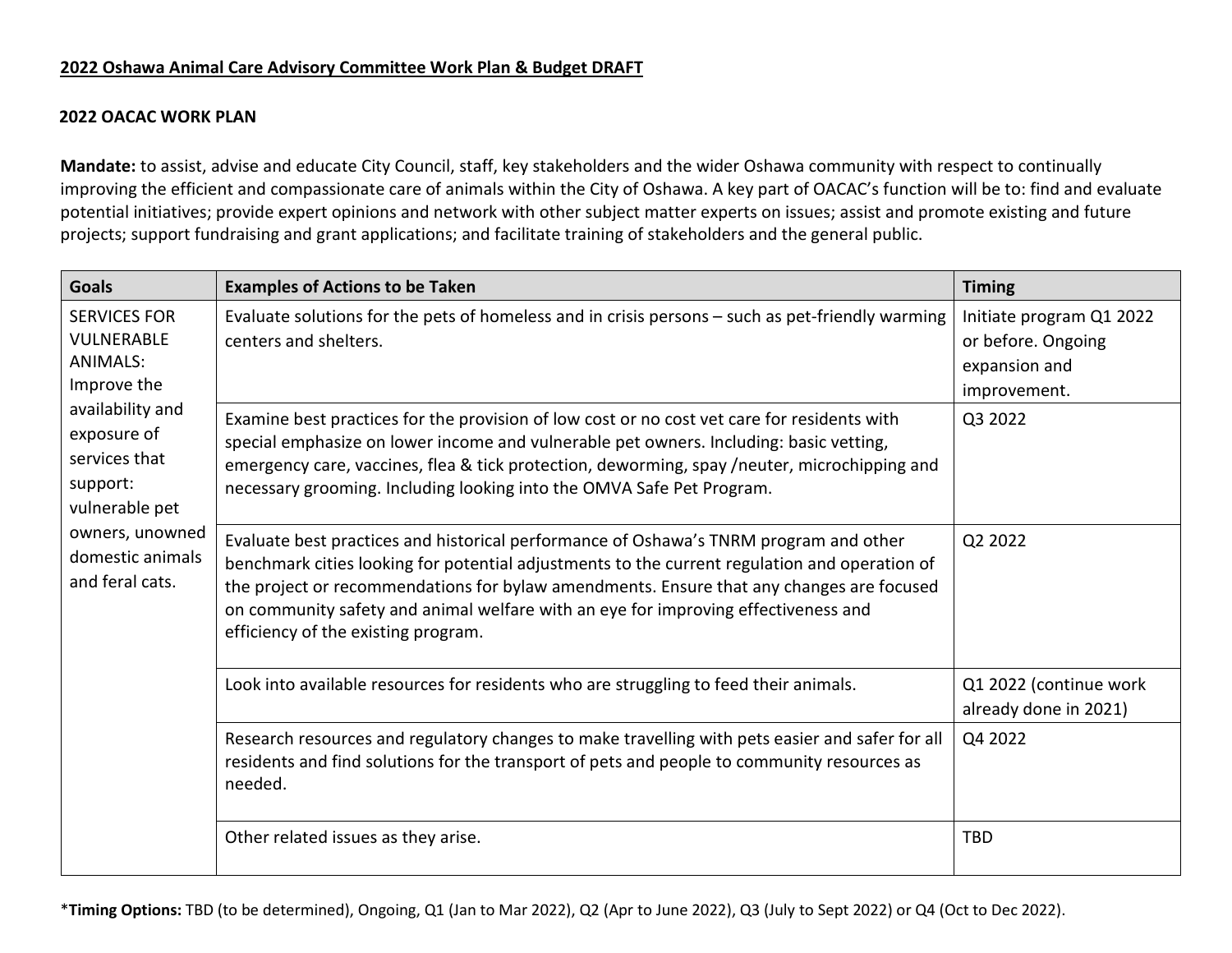## **2022 Oshawa Animal Care Advisory Committee Work Plan & Budget DRAFT**

## **2022 OACAC WORK PLAN**

**Mandate:** to assist, advise and educate City Council, staff, key stakeholders and the wider Oshawa community with respect to continually improving the efficient and compassionate care of animals within the City of Oshawa. A key part of OACAC's function will be to: find and evaluate potential initiatives; provide expert opinions and network with other subject matter experts on issues; assist and promote existing and future projects; support fundraising and grant applications; and facilitate training of stakeholders and the general public.

| <b>Goals</b>                                                                                                                                                                                                           | <b>Examples of Actions to be Taken</b>                                                                                                                                                                                                                                                                                                                                                                          | <b>Timing</b>                                                                   |
|------------------------------------------------------------------------------------------------------------------------------------------------------------------------------------------------------------------------|-----------------------------------------------------------------------------------------------------------------------------------------------------------------------------------------------------------------------------------------------------------------------------------------------------------------------------------------------------------------------------------------------------------------|---------------------------------------------------------------------------------|
| <b>SERVICES FOR</b><br><b>VULNERABLE</b><br><b>ANIMALS:</b><br>Improve the<br>availability and<br>exposure of<br>services that<br>support:<br>vulnerable pet<br>owners, unowned<br>domestic animals<br>and feral cats. | Evaluate solutions for the pets of homeless and in crisis persons - such as pet-friendly warming<br>centers and shelters.                                                                                                                                                                                                                                                                                       | Initiate program Q1 2022<br>or before. Ongoing<br>expansion and<br>improvement. |
|                                                                                                                                                                                                                        | Examine best practices for the provision of low cost or no cost vet care for residents with<br>special emphasize on lower income and vulnerable pet owners. Including: basic vetting,<br>emergency care, vaccines, flea & tick protection, deworming, spay /neuter, microchipping and<br>necessary grooming. Including looking into the OMVA Safe Pet Program.                                                  | Q3 2022                                                                         |
|                                                                                                                                                                                                                        | Evaluate best practices and historical performance of Oshawa's TNRM program and other<br>benchmark cities looking for potential adjustments to the current regulation and operation of<br>the project or recommendations for bylaw amendments. Ensure that any changes are focused<br>on community safety and animal welfare with an eye for improving effectiveness and<br>efficiency of the existing program. | Q2 2022                                                                         |
|                                                                                                                                                                                                                        | Look into available resources for residents who are struggling to feed their animals.                                                                                                                                                                                                                                                                                                                           | Q1 2022 (continue work<br>already done in 2021)                                 |
|                                                                                                                                                                                                                        | Research resources and regulatory changes to make travelling with pets easier and safer for all<br>residents and find solutions for the transport of pets and people to community resources as<br>needed.                                                                                                                                                                                                       | Q4 2022                                                                         |
|                                                                                                                                                                                                                        | Other related issues as they arise.                                                                                                                                                                                                                                                                                                                                                                             | <b>TBD</b>                                                                      |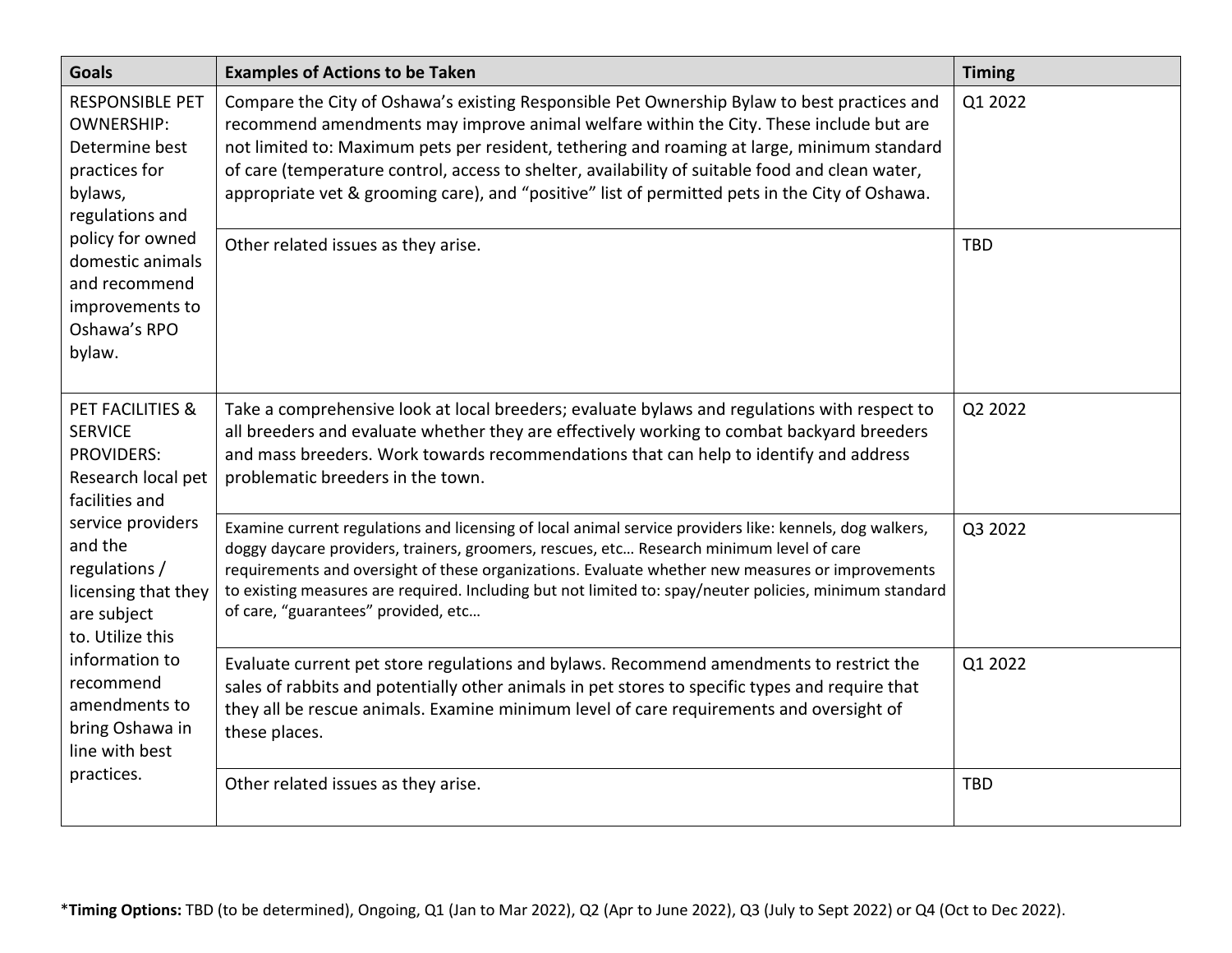| <b>Goals</b>                                                                                                                                                                                                                                                                                                             | <b>Examples of Actions to be Taken</b>                                                                                                                                                                                                                                                                                                                                                                                                                                                    | <b>Timing</b> |
|--------------------------------------------------------------------------------------------------------------------------------------------------------------------------------------------------------------------------------------------------------------------------------------------------------------------------|-------------------------------------------------------------------------------------------------------------------------------------------------------------------------------------------------------------------------------------------------------------------------------------------------------------------------------------------------------------------------------------------------------------------------------------------------------------------------------------------|---------------|
| <b>RESPONSIBLE PET</b><br><b>OWNERSHIP:</b><br>Determine best<br>practices for<br>bylaws,<br>regulations and<br>policy for owned<br>domestic animals<br>and recommend<br>improvements to<br>Oshawa's RPO<br>bylaw.                                                                                                       | Compare the City of Oshawa's existing Responsible Pet Ownership Bylaw to best practices and<br>recommend amendments may improve animal welfare within the City. These include but are<br>not limited to: Maximum pets per resident, tethering and roaming at large, minimum standard<br>of care (temperature control, access to shelter, availability of suitable food and clean water,<br>appropriate vet & grooming care), and "positive" list of permitted pets in the City of Oshawa. | Q1 2022       |
|                                                                                                                                                                                                                                                                                                                          | Other related issues as they arise.                                                                                                                                                                                                                                                                                                                                                                                                                                                       | <b>TBD</b>    |
| <b>PET FACILITIES &amp;</b><br><b>SERVICE</b><br><b>PROVIDERS:</b><br>Research local pet<br>facilities and<br>service providers<br>and the<br>regulations /<br>licensing that they<br>are subject<br>to. Utilize this<br>information to<br>recommend<br>amendments to<br>bring Oshawa in<br>line with best<br>practices. | Take a comprehensive look at local breeders; evaluate bylaws and regulations with respect to<br>all breeders and evaluate whether they are effectively working to combat backyard breeders<br>and mass breeders. Work towards recommendations that can help to identify and address<br>problematic breeders in the town.                                                                                                                                                                  | Q2 2022       |
|                                                                                                                                                                                                                                                                                                                          | Examine current regulations and licensing of local animal service providers like: kennels, dog walkers,<br>doggy daycare providers, trainers, groomers, rescues, etc Research minimum level of care<br>requirements and oversight of these organizations. Evaluate whether new measures or improvements<br>to existing measures are required. Including but not limited to: spay/neuter policies, minimum standard<br>of care, "guarantees" provided, etc                                 | Q3 2022       |
|                                                                                                                                                                                                                                                                                                                          | Evaluate current pet store regulations and bylaws. Recommend amendments to restrict the<br>sales of rabbits and potentially other animals in pet stores to specific types and require that<br>they all be rescue animals. Examine minimum level of care requirements and oversight of<br>these places.                                                                                                                                                                                    | Q1 2022       |
|                                                                                                                                                                                                                                                                                                                          | Other related issues as they arise.                                                                                                                                                                                                                                                                                                                                                                                                                                                       | <b>TBD</b>    |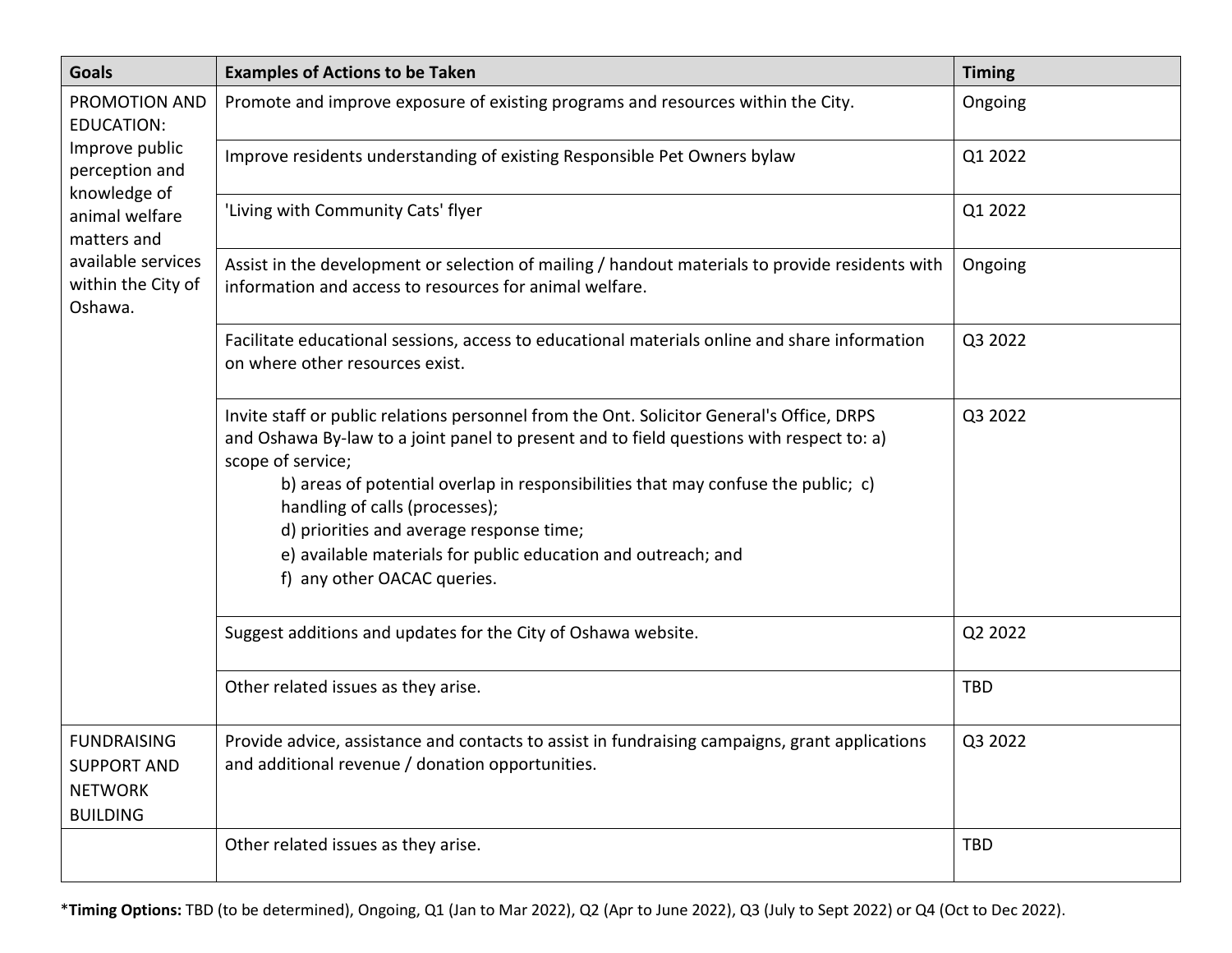| <b>Goals</b>                                                                                                                                                                   | <b>Examples of Actions to be Taken</b>                                                                                                                                                                                                                                                                                                                                                                                                                                        | <b>Timing</b> |
|--------------------------------------------------------------------------------------------------------------------------------------------------------------------------------|-------------------------------------------------------------------------------------------------------------------------------------------------------------------------------------------------------------------------------------------------------------------------------------------------------------------------------------------------------------------------------------------------------------------------------------------------------------------------------|---------------|
| PROMOTION AND<br><b>EDUCATION:</b><br>Improve public<br>perception and<br>knowledge of<br>animal welfare<br>matters and<br>available services<br>within the City of<br>Oshawa. | Promote and improve exposure of existing programs and resources within the City.                                                                                                                                                                                                                                                                                                                                                                                              | Ongoing       |
|                                                                                                                                                                                | Improve residents understanding of existing Responsible Pet Owners bylaw                                                                                                                                                                                                                                                                                                                                                                                                      | Q1 2022       |
|                                                                                                                                                                                | 'Living with Community Cats' flyer                                                                                                                                                                                                                                                                                                                                                                                                                                            | Q1 2022       |
|                                                                                                                                                                                | Assist in the development or selection of mailing / handout materials to provide residents with<br>information and access to resources for animal welfare.                                                                                                                                                                                                                                                                                                                    | Ongoing       |
|                                                                                                                                                                                | Facilitate educational sessions, access to educational materials online and share information<br>on where other resources exist.                                                                                                                                                                                                                                                                                                                                              | Q3 2022       |
|                                                                                                                                                                                | Invite staff or public relations personnel from the Ont. Solicitor General's Office, DRPS<br>and Oshawa By-law to a joint panel to present and to field questions with respect to: a)<br>scope of service;<br>b) areas of potential overlap in responsibilities that may confuse the public; c)<br>handling of calls (processes);<br>d) priorities and average response time;<br>e) available materials for public education and outreach; and<br>f) any other OACAC queries. | Q3 2022       |
|                                                                                                                                                                                | Suggest additions and updates for the City of Oshawa website.                                                                                                                                                                                                                                                                                                                                                                                                                 | Q2 2022       |
|                                                                                                                                                                                | Other related issues as they arise.                                                                                                                                                                                                                                                                                                                                                                                                                                           | <b>TBD</b>    |
| <b>FUNDRAISING</b><br><b>SUPPORT AND</b><br><b>NETWORK</b><br><b>BUILDING</b>                                                                                                  | Provide advice, assistance and contacts to assist in fundraising campaigns, grant applications<br>and additional revenue / donation opportunities.                                                                                                                                                                                                                                                                                                                            | Q3 2022       |
|                                                                                                                                                                                | Other related issues as they arise.                                                                                                                                                                                                                                                                                                                                                                                                                                           | <b>TBD</b>    |

\***Timing Options:** TBD (to be determined), Ongoing, Q1 (Jan to Mar 2022), Q2 (Apr to June 2022), Q3 (July to Sept 2022) or Q4 (Oct to Dec 2022).